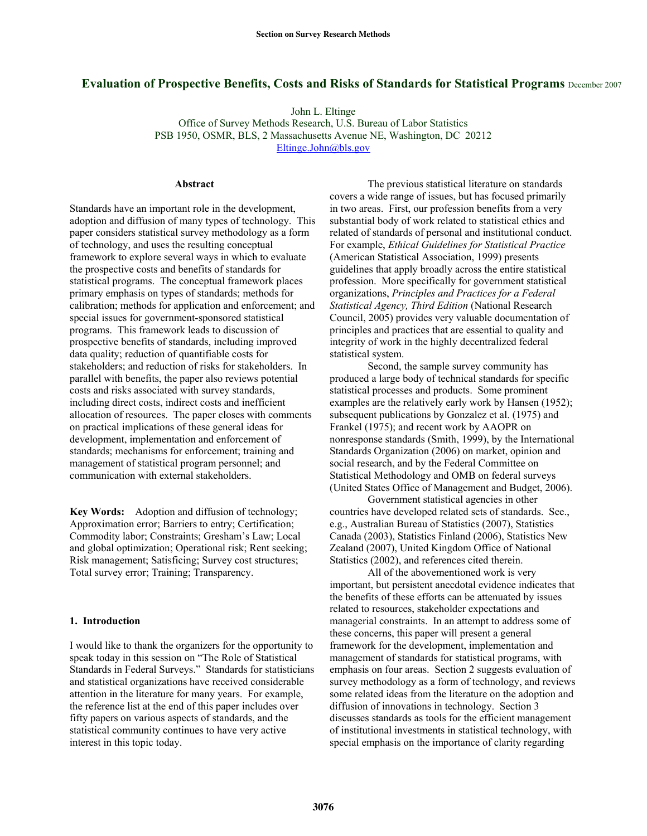# **Evaluation of Prospective Benefits, Costs and Risks of Standards for Statistical Programs** December 2007

John L. Eltinge

Office of Survey Methods Research, U.S. Bureau of Labor Statistics PSB 1950, OSMR, BLS, 2 Massachusetts Avenue NE, Washington, DC 20212 Eltinge.John@bls.gov

#### **Abstract**

Standards have an important role in the development, adoption and diffusion of many types of technology. This paper considers statistical survey methodology as a form of technology, and uses the resulting conceptual framework to explore several ways in which to evaluate the prospective costs and benefits of standards for statistical programs. The conceptual framework places primary emphasis on types of standards; methods for calibration; methods for application and enforcement; and special issues for government-sponsored statistical programs. This framework leads to discussion of prospective benefits of standards, including improved data quality; reduction of quantifiable costs for stakeholders; and reduction of risks for stakeholders. In parallel with benefits, the paper also reviews potential costs and risks associated with survey standards, including direct costs, indirect costs and inefficient allocation of resources. The paper closes with comments on practical implications of these general ideas for development, implementation and enforcement of standards; mechanisms for enforcement; training and management of statistical program personnel; and communication with external stakeholders.

**Key Words:** Adoption and diffusion of technology; Approximation error; Barriers to entry; Certification; Commodity labor; Constraints; Gresham's Law; Local and global optimization; Operational risk; Rent seeking; Risk management; Satisficing; Survey cost structures; Total survey error; Training; Transparency.

#### **1. Introduction**

I would like to thank the organizers for the opportunity to speak today in this session on "The Role of Statistical Standards in Federal Surveys." Standards for statisticians and statistical organizations have received considerable attention in the literature for many years. For example, the reference list at the end of this paper includes over fifty papers on various aspects of standards, and the statistical community continues to have very active interest in this topic today.

 The previous statistical literature on standards covers a wide range of issues, but has focused primarily in two areas. First, our profession benefits from a very substantial body of work related to statistical ethics and related of standards of personal and institutional conduct. For example, *Ethical Guidelines for Statistical Practice* (American Statistical Association, 1999) presents guidelines that apply broadly across the entire statistical profession. More specifically for government statistical organizations, *Principles and Practices for a Federal Statistical Agency, Third Edition* (National Research Council, 2005) provides very valuable documentation of principles and practices that are essential to quality and integrity of work in the highly decentralized federal statistical system.

 Second, the sample survey community has produced a large body of technical standards for specific statistical processes and products. Some prominent examples are the relatively early work by Hansen (1952); subsequent publications by Gonzalez et al. (1975) and Frankel (1975); and recent work by AAOPR on nonresponse standards (Smith, 1999), by the International Standards Organization (2006) on market, opinion and social research, and by the Federal Committee on Statistical Methodology and OMB on federal surveys (United States Office of Management and Budget, 2006).

 Government statistical agencies in other countries have developed related sets of standards. See., e.g., Australian Bureau of Statistics (2007), Statistics Canada (2003), Statistics Finland (2006), Statistics New Zealand (2007), United Kingdom Office of National Statistics (2002), and references cited therein.

 All of the abovementioned work is very important, but persistent anecdotal evidence indicates that the benefits of these efforts can be attenuated by issues related to resources, stakeholder expectations and managerial constraints. In an attempt to address some of these concerns, this paper will present a general framework for the development, implementation and management of standards for statistical programs, with emphasis on four areas. Section 2 suggests evaluation of survey methodology as a form of technology, and reviews some related ideas from the literature on the adoption and diffusion of innovations in technology. Section 3 discusses standards as tools for the efficient management of institutional investments in statistical technology, with special emphasis on the importance of clarity regarding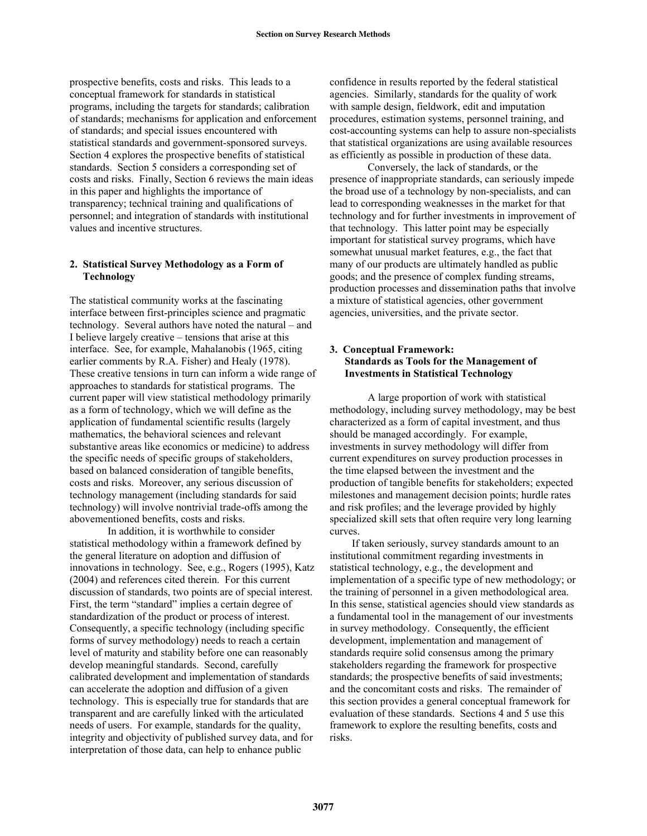prospective benefits, costs and risks. This leads to a conceptual framework for standards in statistical programs, including the targets for standards; calibration of standards; mechanisms for application and enforcement of standards; and special issues encountered with statistical standards and government-sponsored surveys. Section 4 explores the prospective benefits of statistical standards. Section 5 considers a corresponding set of costs and risks. Finally, Section 6 reviews the main ideas in this paper and highlights the importance of transparency; technical training and qualifications of personnel; and integration of standards with institutional values and incentive structures.

# **2. Statistical Survey Methodology as a Form of Technology**

The statistical community works at the fascinating interface between first-principles science and pragmatic technology. Several authors have noted the natural – and I believe largely creative – tensions that arise at this interface. See, for example, Mahalanobis (1965, citing earlier comments by R.A. Fisher) and Healy (1978). These creative tensions in turn can inform a wide range of approaches to standards for statistical programs. The current paper will view statistical methodology primarily as a form of technology, which we will define as the application of fundamental scientific results (largely mathematics, the behavioral sciences and relevant substantive areas like economics or medicine) to address the specific needs of specific groups of stakeholders, based on balanced consideration of tangible benefits, costs and risks. Moreover, any serious discussion of technology management (including standards for said technology) will involve nontrivial trade-offs among the abovementioned benefits, costs and risks.

 In addition, it is worthwhile to consider statistical methodology within a framework defined by the general literature on adoption and diffusion of innovations in technology. See, e.g., Rogers (1995), Katz (2004) and references cited therein. For this current discussion of standards, two points are of special interest. First, the term "standard" implies a certain degree of standardization of the product or process of interest. Consequently, a specific technology (including specific forms of survey methodology) needs to reach a certain level of maturity and stability before one can reasonably develop meaningful standards. Second, carefully calibrated development and implementation of standards can accelerate the adoption and diffusion of a given technology. This is especially true for standards that are transparent and are carefully linked with the articulated needs of users. For example, standards for the quality, integrity and objectivity of published survey data, and for interpretation of those data, can help to enhance public

confidence in results reported by the federal statistical agencies. Similarly, standards for the quality of work with sample design, fieldwork, edit and imputation procedures, estimation systems, personnel training, and cost-accounting systems can help to assure non-specialists that statistical organizations are using available resources as efficiently as possible in production of these data.

Conversely, the lack of standards, or the presence of inappropriate standards, can seriously impede the broad use of a technology by non-specialists, and can lead to corresponding weaknesses in the market for that technology and for further investments in improvement of that technology. This latter point may be especially important for statistical survey programs, which have somewhat unusual market features, e.g., the fact that many of our products are ultimately handled as public goods; and the presence of complex funding streams, production processes and dissemination paths that involve a mixture of statistical agencies, other government agencies, universities, and the private sector.

## **3. Conceptual Framework: Standards as Tools for the Management of Investments in Statistical Technology**

A large proportion of work with statistical methodology, including survey methodology, may be best characterized as a form of capital investment, and thus should be managed accordingly. For example, investments in survey methodology will differ from current expenditures on survey production processes in the time elapsed between the investment and the production of tangible benefits for stakeholders; expected milestones and management decision points; hurdle rates and risk profiles; and the leverage provided by highly specialized skill sets that often require very long learning curves.

If taken seriously, survey standards amount to an institutional commitment regarding investments in statistical technology, e.g., the development and implementation of a specific type of new methodology; or the training of personnel in a given methodological area. In this sense, statistical agencies should view standards as a fundamental tool in the management of our investments in survey methodology. Consequently, the efficient development, implementation and management of standards require solid consensus among the primary stakeholders regarding the framework for prospective standards; the prospective benefits of said investments; and the concomitant costs and risks. The remainder of this section provides a general conceptual framework for evaluation of these standards. Sections 4 and 5 use this framework to explore the resulting benefits, costs and risks.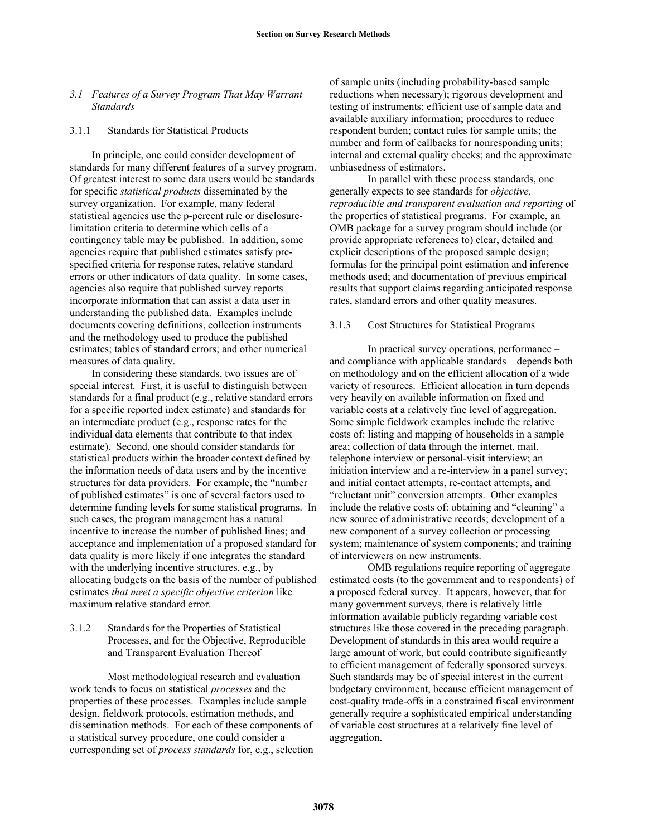## *3.1 Features of a Survey Program That May Warrant Standards*

### 3.1.1 Standards for Statistical Products

In principle, one could consider development of standards for many different features of a survey program. Of greatest interest to some data users would be standards for specific *statistical products* disseminated by the survey organization. For example, many federal statistical agencies use the p-percent rule or disclosurelimitation criteria to determine which cells of a contingency table may be published. In addition, some agencies require that published estimates satisfy prespecified criteria for response rates, relative standard errors or other indicators of data quality. In some cases, agencies also require that published survey reports incorporate information that can assist a data user in understanding the published data. Examples include documents covering definitions, collection instruments and the methodology used to produce the published estimates; tables of standard errors; and other numerical measures of data quality.

In considering these standards, two issues are of special interest. First, it is useful to distinguish between standards for a final product (e.g., relative standard errors for a specific reported index estimate) and standards for an intermediate product (e.g., response rates for the individual data elements that contribute to that index estimate). Second, one should consider standards for statistical products within the broader context defined by the information needs of data users and by the incentive structures for data providers. For example, the "number of published estimates" is one of several factors used to determine funding levels for some statistical programs. In such cases, the program management has a natural incentive to increase the number of published lines; and acceptance and implementation of a proposed standard for data quality is more likely if one integrates the standard with the underlying incentive structures, e.g., by allocating budgets on the basis of the number of published estimates *that meet a specific objective criterion* like maximum relative standard error.

# 3.1.2 Standards for the Properties of Statistical Processes, and for the Objective, Reproducible and Transparent Evaluation Thereof

Most methodological research and evaluation work tends to focus on statistical *processes* and the properties of these processes. Examples include sample design, fieldwork protocols, estimation methods, and dissemination methods. For each of these components of a statistical survey procedure, one could consider a corresponding set of *process standards* for, e.g., selection of sample units (including probability-based sample reductions when necessary); rigorous development and testing of instruments; efficient use of sample data and available auxiliary information; procedures to reduce respondent burden; contact rules for sample units; the number and form of callbacks for nonresponding units; internal and external quality checks; and the approximate unbiasedness of estimators.

 In parallel with these process standards, one generally expects to see standards for *objective, reproducible and transparent evaluation and reporting* of the properties of statistical programs. For example, an OMB package for a survey program should include (or provide appropriate references to) clear, detailed and explicit descriptions of the proposed sample design; formulas for the principal point estimation and inference methods used; and documentation of previous empirical results that support claims regarding anticipated response rates, standard errors and other quality measures.

### 3.1.3 Cost Structures for Statistical Programs

In practical survey operations, performance – and compliance with applicable standards – depends both on methodology and on the efficient allocation of a wide variety of resources. Efficient allocation in turn depends very heavily on available information on fixed and variable costs at a relatively fine level of aggregation. Some simple fieldwork examples include the relative costs of: listing and mapping of households in a sample area; collection of data through the internet, mail, telephone interview or personal-visit interview; an initiation interview and a re-interview in a panel survey; and initial contact attempts, re-contact attempts, and "reluctant unit" conversion attempts. Other examples include the relative costs of: obtaining and "cleaning" a new source of administrative records; development of a new component of a survey collection or processing system; maintenance of system components; and training of interviewers on new instruments.

OMB regulations require reporting of aggregate estimated costs (to the government and to respondents) of a proposed federal survey. It appears, however, that for many government surveys, there is relatively little information available publicly regarding variable cost structures like those covered in the preceding paragraph. Development of standards in this area would require a large amount of work, but could contribute significantly to efficient management of federally sponsored surveys. Such standards may be of special interest in the current budgetary environment, because efficient management of cost-quality trade-offs in a constrained fiscal environment generally require a sophisticated empirical understanding of variable cost structures at a relatively fine level of aggregation.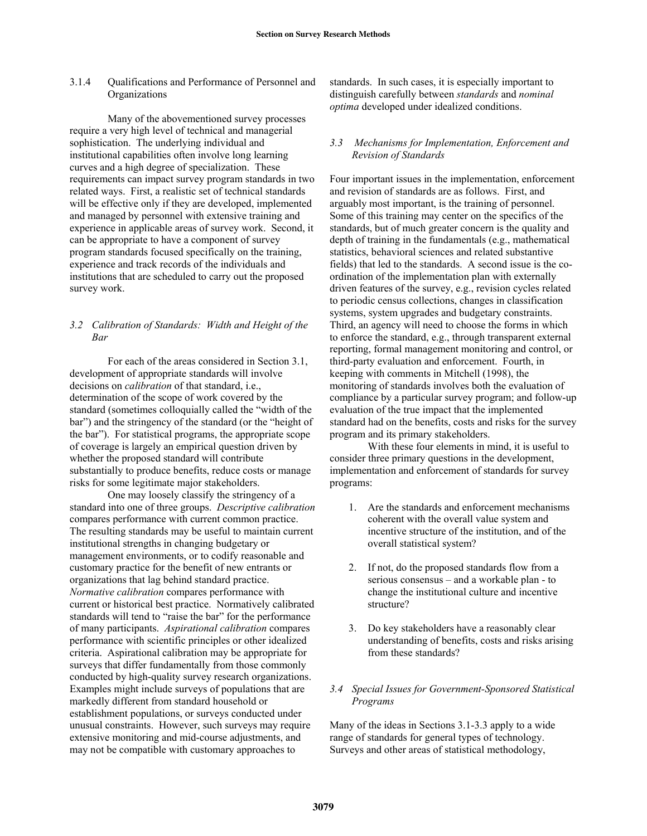3.1.4 Qualifications and Performance of Personnel and **Organizations** 

Many of the abovementioned survey processes require a very high level of technical and managerial sophistication. The underlying individual and institutional capabilities often involve long learning curves and a high degree of specialization. These requirements can impact survey program standards in two related ways. First, a realistic set of technical standards will be effective only if they are developed, implemented and managed by personnel with extensive training and experience in applicable areas of survey work. Second, it can be appropriate to have a component of survey program standards focused specifically on the training, experience and track records of the individuals and institutions that are scheduled to carry out the proposed survey work.

# *3.2 Calibration of Standards: Width and Height of the Bar*

For each of the areas considered in Section 3.1, development of appropriate standards will involve decisions on *calibration* of that standard, i.e., determination of the scope of work covered by the standard (sometimes colloquially called the "width of the bar") and the stringency of the standard (or the "height of the bar"). For statistical programs, the appropriate scope of coverage is largely an empirical question driven by whether the proposed standard will contribute substantially to produce benefits, reduce costs or manage risks for some legitimate major stakeholders.

One may loosely classify the stringency of a standard into one of three groups. *Descriptive calibration*  compares performance with current common practice. The resulting standards may be useful to maintain current institutional strengths in changing budgetary or management environments, or to codify reasonable and customary practice for the benefit of new entrants or organizations that lag behind standard practice. *Normative calibration* compares performance with current or historical best practice. Normatively calibrated standards will tend to "raise the bar" for the performance of many participants. *Aspirational calibration* compares performance with scientific principles or other idealized criteria. Aspirational calibration may be appropriate for surveys that differ fundamentally from those commonly conducted by high-quality survey research organizations. Examples might include surveys of populations that are markedly different from standard household or establishment populations, or surveys conducted under unusual constraints. However, such surveys may require extensive monitoring and mid-course adjustments, and may not be compatible with customary approaches to

standards. In such cases, it is especially important to distinguish carefully between *standards* and *nominal optima* developed under idealized conditions.

# *3.3 Mechanisms for Implementation, Enforcement and Revision of Standards*

Four important issues in the implementation, enforcement and revision of standards are as follows. First, and arguably most important, is the training of personnel. Some of this training may center on the specifics of the standards, but of much greater concern is the quality and depth of training in the fundamentals (e.g., mathematical statistics, behavioral sciences and related substantive fields) that led to the standards. A second issue is the coordination of the implementation plan with externally driven features of the survey, e.g., revision cycles related to periodic census collections, changes in classification systems, system upgrades and budgetary constraints. Third, an agency will need to choose the forms in which to enforce the standard, e.g., through transparent external reporting, formal management monitoring and control, or third-party evaluation and enforcement. Fourth, in keeping with comments in Mitchell (1998), the monitoring of standards involves both the evaluation of compliance by a particular survey program; and follow-up evaluation of the true impact that the implemented standard had on the benefits, costs and risks for the survey program and its primary stakeholders.

 With these four elements in mind, it is useful to consider three primary questions in the development, implementation and enforcement of standards for survey programs:

- 1. Are the standards and enforcement mechanisms coherent with the overall value system and incentive structure of the institution, and of the overall statistical system?
- 2. If not, do the proposed standards flow from a serious consensus – and a workable plan - to change the institutional culture and incentive structure?
- 3. Do key stakeholders have a reasonably clear understanding of benefits, costs and risks arising from these standards?

## *3.4 Special Issues for Government-Sponsored Statistical Programs*

Many of the ideas in Sections 3.1-3.3 apply to a wide range of standards for general types of technology. Surveys and other areas of statistical methodology,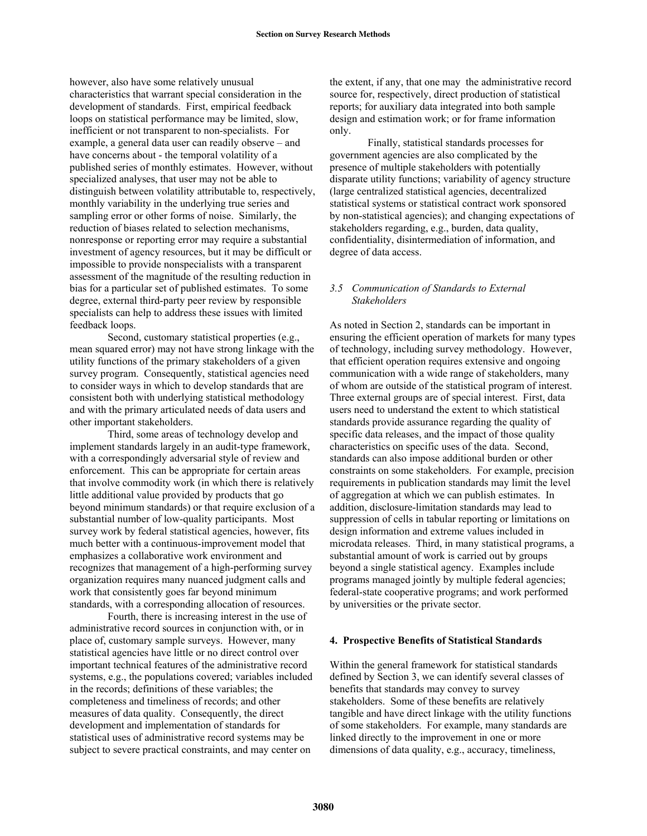however, also have some relatively unusual characteristics that warrant special consideration in the development of standards. First, empirical feedback loops on statistical performance may be limited, slow, inefficient or not transparent to non-specialists. For example, a general data user can readily observe – and have concerns about - the temporal volatility of a published series of monthly estimates. However, without specialized analyses, that user may not be able to distinguish between volatility attributable to, respectively, monthly variability in the underlying true series and sampling error or other forms of noise. Similarly, the reduction of biases related to selection mechanisms, nonresponse or reporting error may require a substantial investment of agency resources, but it may be difficult or impossible to provide nonspecialists with a transparent assessment of the magnitude of the resulting reduction in bias for a particular set of published estimates. To some degree, external third-party peer review by responsible specialists can help to address these issues with limited feedback loops.

 Second, customary statistical properties (e.g., mean squared error) may not have strong linkage with the utility functions of the primary stakeholders of a given survey program. Consequently, statistical agencies need to consider ways in which to develop standards that are consistent both with underlying statistical methodology and with the primary articulated needs of data users and other important stakeholders.

 Third, some areas of technology develop and implement standards largely in an audit-type framework, with a correspondingly adversarial style of review and enforcement. This can be appropriate for certain areas that involve commodity work (in which there is relatively little additional value provided by products that go beyond minimum standards) or that require exclusion of a substantial number of low-quality participants. Most survey work by federal statistical agencies, however, fits much better with a continuous-improvement model that emphasizes a collaborative work environment and recognizes that management of a high-performing survey organization requires many nuanced judgment calls and work that consistently goes far beyond minimum standards, with a corresponding allocation of resources.

 Fourth, there is increasing interest in the use of administrative record sources in conjunction with, or in place of, customary sample surveys. However, many statistical agencies have little or no direct control over important technical features of the administrative record systems, e.g., the populations covered; variables included in the records; definitions of these variables; the completeness and timeliness of records; and other measures of data quality. Consequently, the direct development and implementation of standards for statistical uses of administrative record systems may be subject to severe practical constraints, and may center on

the extent, if any, that one may the administrative record source for, respectively, direct production of statistical reports; for auxiliary data integrated into both sample design and estimation work; or for frame information only.

 Finally, statistical standards processes for government agencies are also complicated by the presence of multiple stakeholders with potentially disparate utility functions; variability of agency structure (large centralized statistical agencies, decentralized statistical systems or statistical contract work sponsored by non-statistical agencies); and changing expectations of stakeholders regarding, e.g., burden, data quality, confidentiality, disintermediation of information, and degree of data access.

## *3.5 Communication of Standards to External Stakeholders*

As noted in Section 2, standards can be important in ensuring the efficient operation of markets for many types of technology, including survey methodology. However, that efficient operation requires extensive and ongoing communication with a wide range of stakeholders, many of whom are outside of the statistical program of interest. Three external groups are of special interest. First, data users need to understand the extent to which statistical standards provide assurance regarding the quality of specific data releases, and the impact of those quality characteristics on specific uses of the data. Second, standards can also impose additional burden or other constraints on some stakeholders. For example, precision requirements in publication standards may limit the level of aggregation at which we can publish estimates. In addition, disclosure-limitation standards may lead to suppression of cells in tabular reporting or limitations on design information and extreme values included in microdata releases. Third, in many statistical programs, a substantial amount of work is carried out by groups beyond a single statistical agency. Examples include programs managed jointly by multiple federal agencies; federal-state cooperative programs; and work performed by universities or the private sector.

### **4. Prospective Benefits of Statistical Standards**

Within the general framework for statistical standards defined by Section 3, we can identify several classes of benefits that standards may convey to survey stakeholders. Some of these benefits are relatively tangible and have direct linkage with the utility functions of some stakeholders. For example, many standards are linked directly to the improvement in one or more dimensions of data quality, e.g., accuracy, timeliness,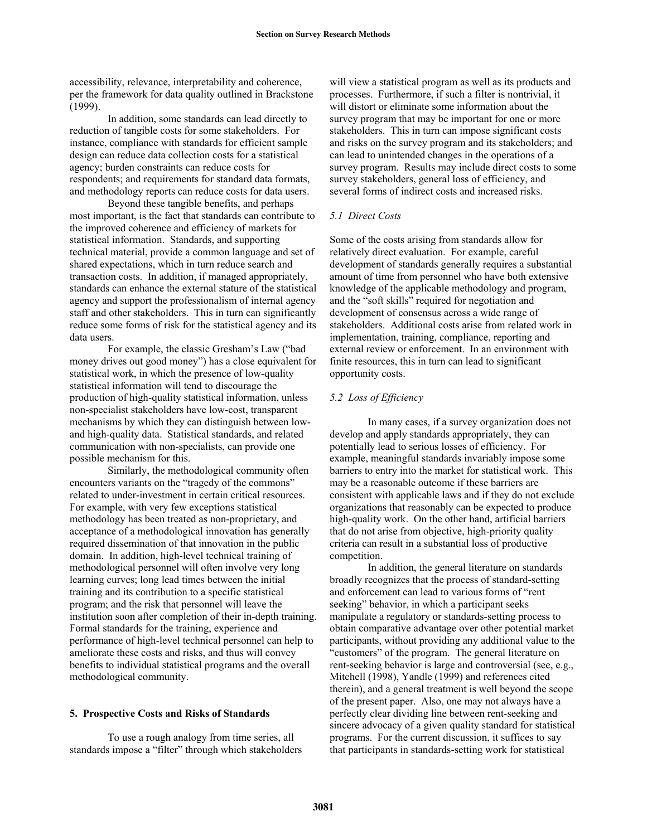accessibility, relevance, interpretability and coherence, per the framework for data quality outlined in Brackstone (1999).

In addition, some standards can lead directly to reduction of tangible costs for some stakeholders. For instance, compliance with standards for efficient sample design can reduce data collection costs for a statistical agency; burden constraints can reduce costs for respondents; and requirements for standard data formats, and methodology reports can reduce costs for data users.

Beyond these tangible benefits, and perhaps most important, is the fact that standards can contribute to the improved coherence and efficiency of markets for statistical information. Standards, and supporting technical material, provide a common language and set of shared expectations, which in turn reduce search and transaction costs. In addition, if managed appropriately, standards can enhance the external stature of the statistical agency and support the professionalism of internal agency staff and other stakeholders. This in turn can significantly reduce some forms of risk for the statistical agency and its data users.

For example, the classic Gresham's Law ("bad money drives out good money") has a close equivalent for statistical work, in which the presence of low-quality statistical information will tend to discourage the production of high-quality statistical information, unless non-specialist stakeholders have low-cost, transparent mechanisms by which they can distinguish between lowand high-quality data. Statistical standards, and related communication with non-specialists, can provide one possible mechanism for this.

 Similarly, the methodological community often encounters variants on the "tragedy of the commons" related to under-investment in certain critical resources. For example, with very few exceptions statistical methodology has been treated as non-proprietary, and acceptance of a methodological innovation has generally required dissemination of that innovation in the public domain. In addition, high-level technical training of methodological personnel will often involve very long learning curves; long lead times between the initial training and its contribution to a specific statistical program; and the risk that personnel will leave the institution soon after completion of their in-depth training. Formal standards for the training, experience and performance of high-level technical personnel can help to ameliorate these costs and risks, and thus will convey benefits to individual statistical programs and the overall methodological community.

#### **5. Prospective Costs and Risks of Standards**

To use a rough analogy from time series, all standards impose a "filter" through which stakeholders

will view a statistical program as well as its products and processes. Furthermore, if such a filter is nontrivial, it will distort or eliminate some information about the survey program that may be important for one or more stakeholders. This in turn can impose significant costs and risks on the survey program and its stakeholders; and can lead to unintended changes in the operations of a survey program. Results may include direct costs to some survey stakeholders, general loss of efficiency, and several forms of indirect costs and increased risks.

## *5.1 Direct Costs*

Some of the costs arising from standards allow for relatively direct evaluation. For example, careful development of standards generally requires a substantial amount of time from personnel who have both extensive knowledge of the applicable methodology and program, and the "soft skills" required for negotiation and development of consensus across a wide range of stakeholders. Additional costs arise from related work in implementation, training, compliance, reporting and external review or enforcement. In an environment with finite resources, this in turn can lead to significant opportunity costs.

#### *5.2 Loss of Efficiency*

 In many cases, if a survey organization does not develop and apply standards appropriately, they can potentially lead to serious losses of efficiency. For example, meaningful standards invariably impose some barriers to entry into the market for statistical work. This may be a reasonable outcome if these barriers are consistent with applicable laws and if they do not exclude organizations that reasonably can be expected to produce high-quality work. On the other hand, artificial barriers that do not arise from objective, high-priority quality criteria can result in a substantial loss of productive competition.

 In addition, the general literature on standards broadly recognizes that the process of standard-setting and enforcement can lead to various forms of "rent seeking" behavior, in which a participant seeks manipulate a regulatory or standards-setting process to obtain comparative advantage over other potential market participants, without providing any additional value to the "customers" of the program. The general literature on rent-seeking behavior is large and controversial (see, e.g., Mitchell (1998), Yandle (1999) and references cited therein), and a general treatment is well beyond the scope of the present paper. Also, one may not always have a perfectly clear dividing line between rent-seeking and sincere advocacy of a given quality standard for statistical programs. For the current discussion, it suffices to say that participants in standards-setting work for statistical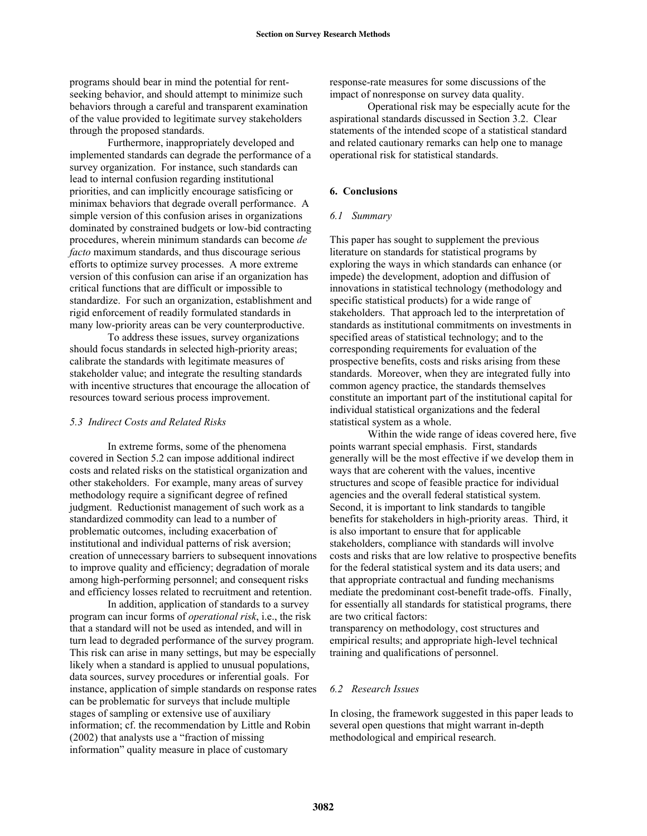programs should bear in mind the potential for rentseeking behavior, and should attempt to minimize such behaviors through a careful and transparent examination of the value provided to legitimate survey stakeholders through the proposed standards.

 Furthermore, inappropriately developed and implemented standards can degrade the performance of a survey organization. For instance, such standards can lead to internal confusion regarding institutional priorities, and can implicitly encourage satisficing or minimax behaviors that degrade overall performance. A simple version of this confusion arises in organizations dominated by constrained budgets or low-bid contracting procedures, wherein minimum standards can become *de facto* maximum standards, and thus discourage serious efforts to optimize survey processes. A more extreme version of this confusion can arise if an organization has critical functions that are difficult or impossible to standardize. For such an organization, establishment and rigid enforcement of readily formulated standards in many low-priority areas can be very counterproductive.

 To address these issues, survey organizations should focus standards in selected high-priority areas; calibrate the standards with legitimate measures of stakeholder value; and integrate the resulting standards with incentive structures that encourage the allocation of resources toward serious process improvement.

### *5.3 Indirect Costs and Related Risks*

In extreme forms, some of the phenomena covered in Section 5.2 can impose additional indirect costs and related risks on the statistical organization and other stakeholders. For example, many areas of survey methodology require a significant degree of refined judgment. Reductionist management of such work as a standardized commodity can lead to a number of problematic outcomes, including exacerbation of institutional and individual patterns of risk aversion; creation of unnecessary barriers to subsequent innovations to improve quality and efficiency; degradation of morale among high-performing personnel; and consequent risks and efficiency losses related to recruitment and retention.

 In addition, application of standards to a survey program can incur forms of *operational risk*, i.e., the risk that a standard will not be used as intended, and will in turn lead to degraded performance of the survey program. This risk can arise in many settings, but may be especially likely when a standard is applied to unusual populations, data sources, survey procedures or inferential goals. For instance, application of simple standards on response rates can be problematic for surveys that include multiple stages of sampling or extensive use of auxiliary information; cf. the recommendation by Little and Robin (2002) that analysts use a "fraction of missing information" quality measure in place of customary

response-rate measures for some discussions of the impact of nonresponse on survey data quality.

Operational risk may be especially acute for the aspirational standards discussed in Section 3.2. Clear statements of the intended scope of a statistical standard and related cautionary remarks can help one to manage operational risk for statistical standards.

## **6. Conclusions**

### *6.1 Summary*

This paper has sought to supplement the previous literature on standards for statistical programs by exploring the ways in which standards can enhance (or impede) the development, adoption and diffusion of innovations in statistical technology (methodology and specific statistical products) for a wide range of stakeholders. That approach led to the interpretation of standards as institutional commitments on investments in specified areas of statistical technology; and to the corresponding requirements for evaluation of the prospective benefits, costs and risks arising from these standards. Moreover, when they are integrated fully into common agency practice, the standards themselves constitute an important part of the institutional capital for individual statistical organizations and the federal statistical system as a whole.

 Within the wide range of ideas covered here, five points warrant special emphasis. First, standards generally will be the most effective if we develop them in ways that are coherent with the values, incentive structures and scope of feasible practice for individual agencies and the overall federal statistical system. Second, it is important to link standards to tangible benefits for stakeholders in high-priority areas. Third, it is also important to ensure that for applicable stakeholders, compliance with standards will involve costs and risks that are low relative to prospective benefits for the federal statistical system and its data users; and that appropriate contractual and funding mechanisms mediate the predominant cost-benefit trade-offs. Finally, for essentially all standards for statistical programs, there are two critical factors:

transparency on methodology, cost structures and empirical results; and appropriate high-level technical training and qualifications of personnel.

#### *6.2 Research Issues*

In closing, the framework suggested in this paper leads to several open questions that might warrant in-depth methodological and empirical research.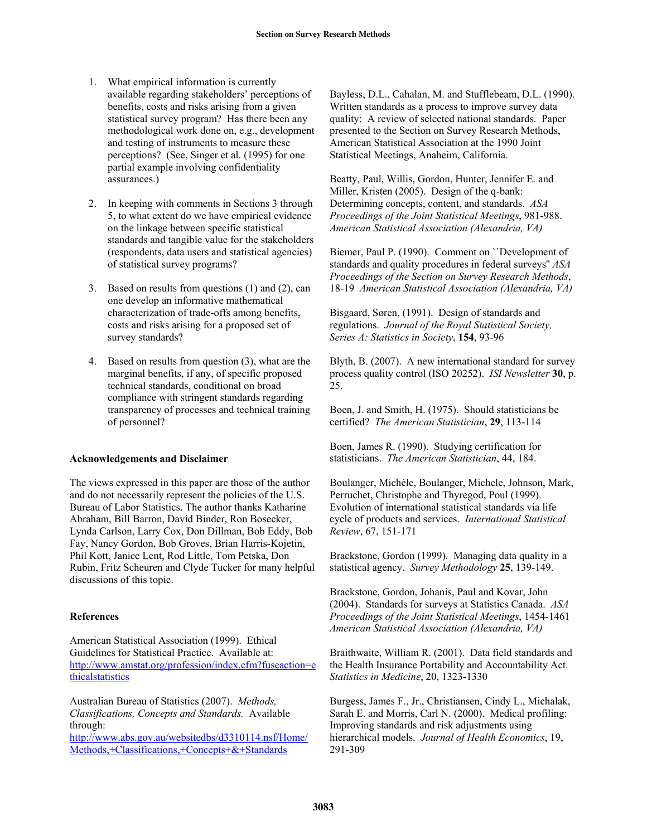- 1. What empirical information is currently available regarding stakeholders' perceptions of benefits, costs and risks arising from a given statistical survey program? Has there been any methodological work done on, e.g., development and testing of instruments to measure these perceptions? (See, Singer et al. (1995) for one partial example involving confidentiality assurances.)
- 2. In keeping with comments in Sections 3 through 5, to what extent do we have empirical evidence on the linkage between specific statistical standards and tangible value for the stakeholders (respondents, data users and statistical agencies) of statistical survey programs?
- 3. Based on results from questions (1) and (2), can one develop an informative mathematical characterization of trade-offs among benefits, costs and risks arising for a proposed set of survey standards?
- 4. Based on results from question (3), what are the marginal benefits, if any, of specific proposed technical standards, conditional on broad compliance with stringent standards regarding transparency of processes and technical training of personnel?

# **Acknowledgements and Disclaimer**

The views expressed in this paper are those of the author and do not necessarily represent the policies of the U.S. Bureau of Labor Statistics. The author thanks Katharine Abraham, Bill Barron, David Binder, Ron Bosecker, Lynda Carlson, Larry Cox, Don Dillman, Bob Eddy, Bob Fay, Nancy Gordon, Bob Groves, Brian Harris-Kojetin, Phil Kott, Janice Lent, Rod Little, Tom Petska, Don Rubin, Fritz Scheuren and Clyde Tucker for many helpful discussions of this topic.

# **References**

American Statistical Association (1999). Ethical Guidelines for Statistical Practice. Available at: http://www.amstat.org/profession/index.cfm?fuseaction=e thicalstatistics

Australian Bureau of Statistics (2007). *Methods, Classifications, Concepts and Standards.* Available through: http://www.abs.gov.au/websitedbs/d3310114.nsf/Home/

Methods,+Classifications,+Concepts+&+Standards

Bayless, D.L., Cahalan, M. and Stufflebeam, D.L. (1990). Written standards as a process to improve survey data quality: A review of selected national standards. Paper presented to the Section on Survey Research Methods, American Statistical Association at the 1990 Joint Statistical Meetings, Anaheim, California.

Beatty, Paul, Willis, Gordon, Hunter, Jennifer E. and Miller, Kristen (2005). Design of the q-bank: Determining concepts, content, and standards. *ASA Proceedings of the Joint Statistical Meetings*, 981-988. *American Statistical Association (Alexandria, VA)*

Biemer, Paul P. (1990). Comment on ``Development of standards and quality procedures in federal surveys'' *ASA Proceedings of the Section on Survey Research Methods*, 18-19 *American Statistical Association (Alexandria, VA)*

Bisgaard, Søren, (1991). Design of standards and regulations. *Journal of the Royal Statistical Society, Series A: Statistics in Society*, **154**, 93-96

Blyth, B. (2007). A new international standard for survey process quality control (ISO 20252). *ISI Newsletter* **30**, p. 25.

Boen, J. and Smith, H. (1975). Should statisticians be certified? *The American Statistician*, **29**, 113-114

Boen, James R. (1990). Studying certification for statisticians. *The American Statistician*, 44, 184.

Boulanger, Michèle, Boulanger, Michele, Johnson, Mark, Perruchet, Christophe and Thyregod, Poul (1999). Evolution of international statistical standards via life cycle of products and services. *International Statistical Review*, 67, 151-171

Brackstone, Gordon (1999). Managing data quality in a statistical agency. *Survey Methodology* **25**, 139-149.

Brackstone, Gordon, Johanis, Paul and Kovar, John (2004). Standards for surveys at Statistics Canada. *ASA Proceedings of the Joint Statistical Meetings*, 1454-1461 *American Statistical Association (Alexandria, VA)* 

Braithwaite, William R. (2001). Data field standards and the Health Insurance Portability and Accountability Act. *Statistics in Medicine*, 20, 1323-1330

Burgess, James F., Jr., Christiansen, Cindy L., Michalak, Sarah E. and Morris, Carl N. (2000). Medical profiling: Improving standards and risk adjustments using hierarchical models. *Journal of Health Economics*, 19, 291-309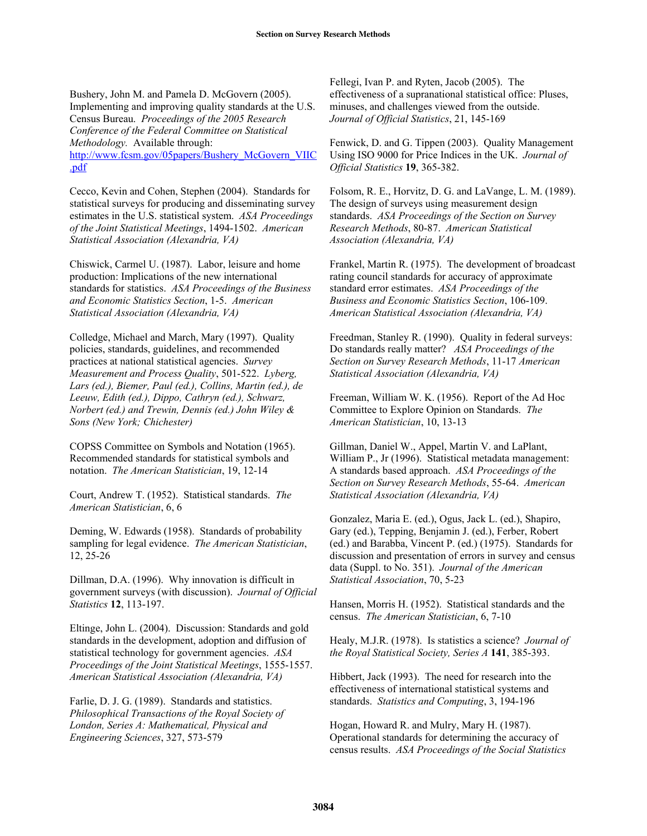Bushery, John M. and Pamela D. McGovern (2005). Implementing and improving quality standards at the U.S. Census Bureau. *Proceedings of the 2005 Research Conference of the Federal Committee on Statistical Methodology.* Available through: http://www.fcsm.gov/05papers/Bushery\_McGovern\_VIIC .pdf

Cecco, Kevin and Cohen, Stephen (2004). Standards for statistical surveys for producing and disseminating survey estimates in the U.S. statistical system. *ASA Proceedings of the Joint Statistical Meetings*, 1494-1502. *American Statistical Association (Alexandria, VA)*

Chiswick, Carmel U. (1987). Labor, leisure and home production: Implications of the new international standards for statistics. *ASA Proceedings of the Business and Economic Statistics Section*, 1-5. *American Statistical Association (Alexandria, VA)*

Colledge, Michael and March, Mary (1997). Quality policies, standards, guidelines, and recommended practices at national statistical agencies. *Survey Measurement and Process Quality*, 501-522. *Lyberg, Lars (ed.), Biemer, Paul (ed.), Collins, Martin (ed.), de Leeuw, Edith (ed.), Dippo, Cathryn (ed.), Schwarz, Norbert (ed.) and Trewin, Dennis (ed.) John Wiley & Sons (New York; Chichester)*

COPSS Committee on Symbols and Notation (1965). Recommended standards for statistical symbols and notation. *The American Statistician*, 19, 12-14

Court, Andrew T. (1952). Statistical standards. *The American Statistician*, 6, 6

Deming, W. Edwards (1958). Standards of probability sampling for legal evidence. *The American Statistician*, 12, 25-26

Dillman, D.A. (1996). Why innovation is difficult in government surveys (with discussion). *Journal of Official Statistics* **12**, 113-197.

Eltinge, John L. (2004). Discussion: Standards and gold standards in the development, adoption and diffusion of statistical technology for government agencies. *ASA Proceedings of the Joint Statistical Meetings*, 1555-1557. *American Statistical Association (Alexandria, VA)*

Farlie, D. J. G. (1989). Standards and statistics. *Philosophical Transactions of the Royal Society of London, Series A: Mathematical, Physical and Engineering Sciences*, 327, 573-579

Fellegi, Ivan P. and Ryten, Jacob (2005). The effectiveness of a supranational statistical office: Pluses, minuses, and challenges viewed from the outside. *Journal of Official Statistics*, 21, 145-169

Fenwick, D. and G. Tippen (2003). Quality Management Using ISO 9000 for Price Indices in the UK. *Journal of Official Statistics* **19**, 365-382.

Folsom, R. E., Horvitz, D. G. and LaVange, L. M. (1989). The design of surveys using measurement design standards. *ASA Proceedings of the Section on Survey Research Methods*, 80-87. *American Statistical Association (Alexandria, VA)*

Frankel, Martin R. (1975). The development of broadcast rating council standards for accuracy of approximate standard error estimates. *ASA Proceedings of the Business and Economic Statistics Section*, 106-109. *American Statistical Association (Alexandria, VA)*

Freedman, Stanley R. (1990). Quality in federal surveys: Do standards really matter? *ASA Proceedings of the Section on Survey Research Methods*, 11-17 *American Statistical Association (Alexandria, VA)*

Freeman, William W. K. (1956). Report of the Ad Hoc Committee to Explore Opinion on Standards. *The American Statistician*, 10, 13-13

Gillman, Daniel W., Appel, Martin V. and LaPlant, William P., Jr (1996). Statistical metadata management: A standards based approach. *ASA Proceedings of the Section on Survey Research Methods*, 55-64. *American Statistical Association (Alexandria, VA)* 

Gonzalez, Maria E. (ed.), Ogus, Jack L. (ed.), Shapiro, Gary (ed.), Tepping, Benjamin J. (ed.), Ferber, Robert (ed.) and Barabba, Vincent P. (ed.) (1975). Standards for discussion and presentation of errors in survey and census data (Suppl. to No. 351). *Journal of the American Statistical Association*, 70, 5-23

Hansen, Morris H. (1952). Statistical standards and the census. *The American Statistician*, 6, 7-10

Healy, M.J.R. (1978). Is statistics a science? *Journal of the Royal Statistical Society, Series A* **141**, 385-393.

Hibbert, Jack (1993). The need for research into the effectiveness of international statistical systems and standards. *Statistics and Computing*, 3, 194-196

Hogan, Howard R. and Mulry, Mary H. (1987). Operational standards for determining the accuracy of census results. *ASA Proceedings of the Social Statistics*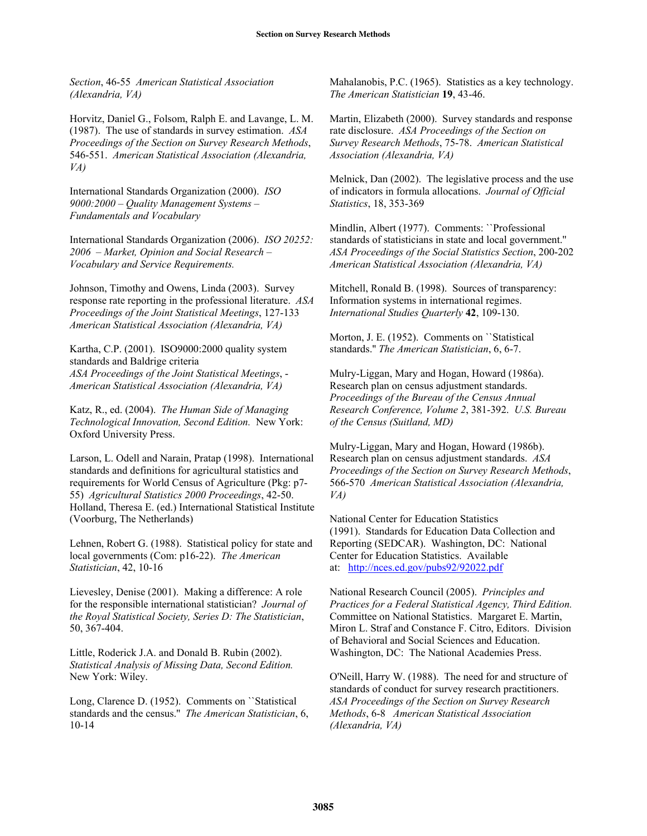*Section*, 46-55 *American Statistical Association (Alexandria, VA)*

Horvitz, Daniel G., Folsom, Ralph E. and Lavange, L. M. (1987). The use of standards in survey estimation. *ASA Proceedings of the Section on Survey Research Methods*, 546-551. *American Statistical Association (Alexandria, VA)*

International Standards Organization (2000). *ISO 9000:2000 – Quality Management Systems – Fundamentals and Vocabulary* 

International Standards Organization (2006). *ISO 20252: 2006 – Market, Opinion and Social Research – Vocabulary and Service Requirements.*

Johnson, Timothy and Owens, Linda (2003). Survey response rate reporting in the professional literature. *ASA Proceedings of the Joint Statistical Meetings*, 127-133 *American Statistical Association (Alexandria, VA)*

Kartha, C.P. (2001). ISO9000:2000 quality system standards and Baldrige criteria *ASA Proceedings of the Joint Statistical Meetings*, - *American Statistical Association (Alexandria, VA)*

Katz, R., ed. (2004). *The Human Side of Managing Technological Innovation, Second Edition.* New York: Oxford University Press.

Larson, L. Odell and Narain, Pratap (1998). International standards and definitions for agricultural statistics and requirements for World Census of Agriculture (Pkg: p7- 55) *Agricultural Statistics 2000 Proceedings*, 42-50. Holland, Theresa E. (ed.) International Statistical Institute (Voorburg, The Netherlands)

Lehnen, Robert G. (1988). Statistical policy for state and local governments (Com: p16-22). *The American Statistician*, 42, 10-16

Lievesley, Denise (2001). Making a difference: A role for the responsible international statistician? *Journal of the Royal Statistical Society, Series D: The Statistician*, 50, 367-404.

Little, Roderick J.A. and Donald B. Rubin (2002). *Statistical Analysis of Missing Data, Second Edition.* New York: Wiley.

Long, Clarence D. (1952). Comments on ``Statistical standards and the census.'' *The American Statistician*, 6, 10-14

Mahalanobis, P.C. (1965). Statistics as a key technology. *The American Statistician* **19**, 43-46.

Martin, Elizabeth (2000). Survey standards and response rate disclosure. *ASA Proceedings of the Section on Survey Research Methods*, 75-78. *American Statistical Association (Alexandria, VA)*

Melnick, Dan (2002). The legislative process and the use of indicators in formula allocations. *Journal of Official Statistics*, 18, 353-369

Mindlin, Albert (1977). Comments: ``Professional standards of statisticians in state and local government.'' *ASA Proceedings of the Social Statistics Section*, 200-202 *American Statistical Association (Alexandria, VA)*

Mitchell, Ronald B. (1998). Sources of transparency: Information systems in international regimes. *International Studies Quarterly* **42**, 109-130.

Morton, J. E. (1952). Comments on ``Statistical standards.'' *The American Statistician*, 6, 6-7.

Mulry-Liggan, Mary and Hogan, Howard (1986a). Research plan on census adjustment standards. *Proceedings of the Bureau of the Census Annual Research Conference, Volume 2*, 381-392. *U.S. Bureau of the Census (Suitland, MD)*

Mulry-Liggan, Mary and Hogan, Howard (1986b). Research plan on census adjustment standards. *ASA Proceedings of the Section on Survey Research Methods*, 566-570 *American Statistical Association (Alexandria, VA)* 

National Center for Education Statistics (1991). Standards for Education Data Collection and Reporting (SEDCAR). Washington, DC: National Center for Education Statistics. Available at: http://nces.ed.gov/pubs92/92022.pdf

National Research Council (2005). *Principles and Practices for a Federal Statistical Agency, Third Edition.* Committee on National Statistics. Margaret E. Martin, Miron L. Straf and Constance F. Citro, Editors. Division of Behavioral and Social Sciences and Education. Washington, DC: The National Academies Press.

O'Neill, Harry W. (1988). The need for and structure of standards of conduct for survey research practitioners. *ASA Proceedings of the Section on Survey Research Methods*, 6-8 *American Statistical Association (Alexandria, VA)*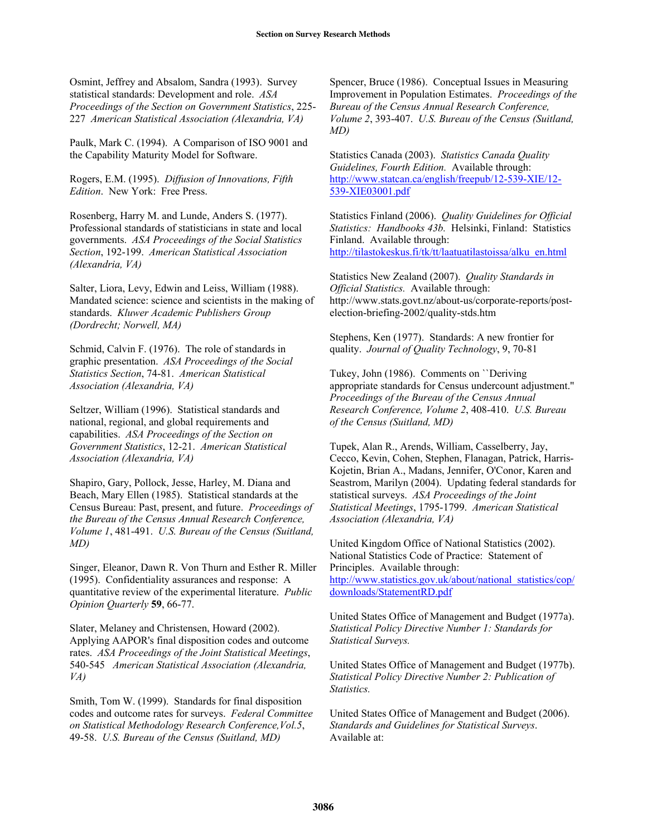Osmint, Jeffrey and Absalom, Sandra (1993). Survey statistical standards: Development and role. *ASA Proceedings of the Section on Government Statistics*, 225- 227 *American Statistical Association (Alexandria, VA)*

Paulk, Mark C. (1994). A Comparison of ISO 9001 and the Capability Maturity Model for Software.

Rogers, E.M. (1995). *Diffusion of Innovations, Fifth Edition*. New York: Free Press.

Rosenberg, Harry M. and Lunde, Anders S. (1977). Professional standards of statisticians in state and local governments. *ASA Proceedings of the Social Statistics Section*, 192-199. *American Statistical Association (Alexandria, VA)*

Salter, Liora, Levy, Edwin and Leiss, William (1988). Mandated science: science and scientists in the making of standards. *Kluwer Academic Publishers Group (Dordrecht; Norwell, MA)*

Schmid, Calvin F. (1976). The role of standards in graphic presentation. *ASA Proceedings of the Social Statistics Section*, 74-81. *American Statistical Association (Alexandria, VA)*

Seltzer, William (1996). Statistical standards and national, regional, and global requirements and capabilities. *ASA Proceedings of the Section on Government Statistics*, 12-21. *American Statistical Association (Alexandria, VA)*

Shapiro, Gary, Pollock, Jesse, Harley, M. Diana and Beach, Mary Ellen (1985). Statistical standards at the Census Bureau: Past, present, and future. *Proceedings of the Bureau of the Census Annual Research Conference, Volume 1*, 481-491. *U.S. Bureau of the Census (Suitland, MD)*

Singer, Eleanor, Dawn R. Von Thurn and Esther R. Miller (1995). Confidentiality assurances and response: A quantitative review of the experimental literature. *Public Opinion Quarterly* **59**, 66-77.

Slater, Melaney and Christensen, Howard (2002). Applying AAPOR's final disposition codes and outcome rates. *ASA Proceedings of the Joint Statistical Meetings*, 540-545 *American Statistical Association (Alexandria, VA)*

Smith, Tom W. (1999). Standards for final disposition codes and outcome rates for surveys. *Federal Committee on Statistical Methodology Research Conference,Vol.5*, 49-58. *U.S. Bureau of the Census (Suitland, MD)*

Spencer, Bruce (1986). Conceptual Issues in Measuring Improvement in Population Estimates. *Proceedings of the Bureau of the Census Annual Research Conference, Volume 2*, 393-407. *U.S. Bureau of the Census (Suitland, MD)*

Statistics Canada (2003). *Statistics Canada Quality Guidelines, Fourth Edition.* Available through: http://www.statcan.ca/english/freepub/12-539-XIE/12- 539-XIE03001.pdf

Statistics Finland (2006). *Quality Guidelines for Official Statistics: Handbooks 43b.* Helsinki, Finland: Statistics Finland. Available through: http://tilastokeskus.fi/tk/tt/laatuatilastoissa/alku\_en.html

Statistics New Zealand (2007). *Quality Standards in Official Statistics.* Available through: http://www.stats.govt.nz/about-us/corporate-reports/postelection-briefing-2002/quality-stds.htm

Stephens, Ken (1977). Standards: A new frontier for quality. *Journal of Quality Technology*, 9, 70-81

Tukey, John (1986). Comments on ``Deriving appropriate standards for Census undercount adjustment.'' *Proceedings of the Bureau of the Census Annual Research Conference, Volume 2*, 408-410. *U.S. Bureau of the Census (Suitland, MD)*

Tupek, Alan R., Arends, William, Casselberry, Jay, Cecco, Kevin, Cohen, Stephen, Flanagan, Patrick, Harris-Kojetin, Brian A., Madans, Jennifer, O'Conor, Karen and Seastrom, Marilyn (2004). Updating federal standards for statistical surveys. *ASA Proceedings of the Joint Statistical Meetings*, 1795-1799. *American Statistical Association (Alexandria, VA)*

United Kingdom Office of National Statistics (2002). National Statistics Code of Practice: Statement of Principles. Available through: http://www.statistics.gov.uk/about/national\_statistics/cop/ downloads/StatementRD.pdf

United States Office of Management and Budget (1977a). *Statistical Policy Directive Number 1: Standards for Statistical Surveys.* 

United States Office of Management and Budget (1977b). *Statistical Policy Directive Number 2: Publication of Statistics.*

United States Office of Management and Budget (2006). *Standards and Guidelines for Statistical Surveys*. Available at: